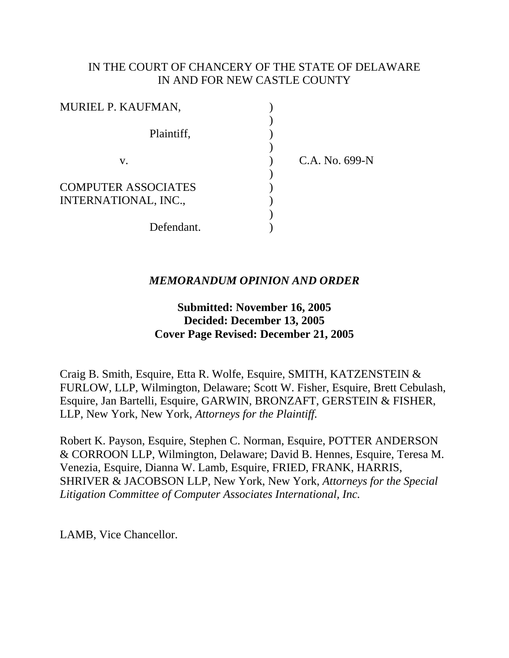## IN THE COURT OF CHANCERY OF THE STATE OF DELAWARE IN AND FOR NEW CASTLE COUNTY

| MURIEL P. KAUFMAN,                                 |                |
|----------------------------------------------------|----------------|
| Plaintiff,                                         |                |
| V.                                                 | C.A. No. 699-N |
| <b>COMPUTER ASSOCIATES</b><br>INTERNATIONAL, INC., |                |
| Defendant.                                         |                |

## *MEMORANDUM OPINION AND ORDER*

## **Submitted: November 16, 2005 Decided: December 13, 2005 Cover Page Revised: December 21, 2005**

Craig B. Smith, Esquire, Etta R. Wolfe, Esquire, SMITH, KATZENSTEIN & FURLOW, LLP, Wilmington, Delaware; Scott W. Fisher, Esquire, Brett Cebulash, Esquire, Jan Bartelli, Esquire, GARWIN, BRONZAFT, GERSTEIN & FISHER, LLP, New York, New York, *Attorneys for the Plaintiff.*

Robert K. Payson, Esquire, Stephen C. Norman, Esquire, POTTER ANDERSON & CORROON LLP, Wilmington, Delaware; David B. Hennes, Esquire, Teresa M. Venezia, Esquire, Dianna W. Lamb, Esquire, FRIED, FRANK, HARRIS, SHRIVER & JACOBSON LLP, New York, New York, *Attorneys for the Special Litigation Committee of Computer Associates International, Inc.*

LAMB, Vice Chancellor.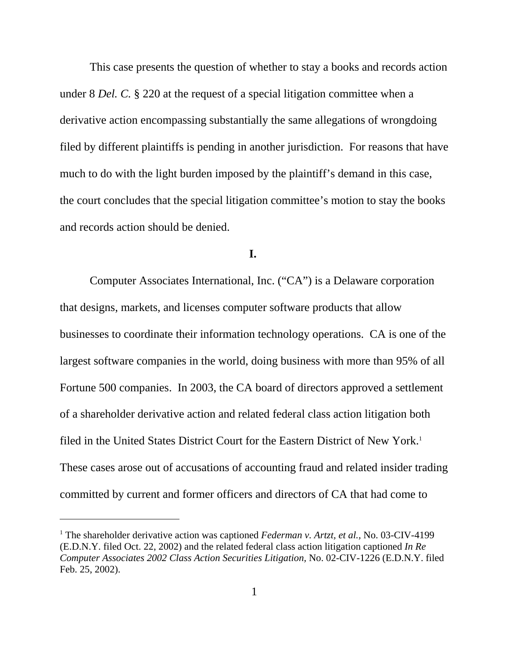This case presents the question of whether to stay a books and records action under 8 *Del. C.* § 220 at the request of a special litigation committee when a derivative action encompassing substantially the same allegations of wrongdoing filed by different plaintiffs is pending in another jurisdiction. For reasons that have much to do with the light burden imposed by the plaintiff's demand in this case, the court concludes that the special litigation committee's motion to stay the books and records action should be denied.

### **I.**

Computer Associates International, Inc. ("CA") is a Delaware corporation that designs, markets, and licenses computer software products that allow businesses to coordinate their information technology operations. CA is one of the largest software companies in the world, doing business with more than 95% of all Fortune 500 companies. In 2003, the CA board of directors approved a settlement of a shareholder derivative action and related federal class action litigation both filed in the United States District Court for the Eastern District of New York.<sup>1</sup> These cases arose out of accusations of accounting fraud and related insider trading committed by current and former officers and directors of CA that had come to

<sup>&</sup>lt;sup>1</sup> The shareholder derivative action was captioned *Federman v. Artzt, et al.*, No. 03-CIV-4199 (E.D.N.Y. filed Oct. 22, 2002) and the related federal class action litigation captioned *In Re Computer Associates 2002 Class Action Securities Litigation,* No. 02-CIV-1226 (E.D.N.Y. filed Feb. 25, 2002).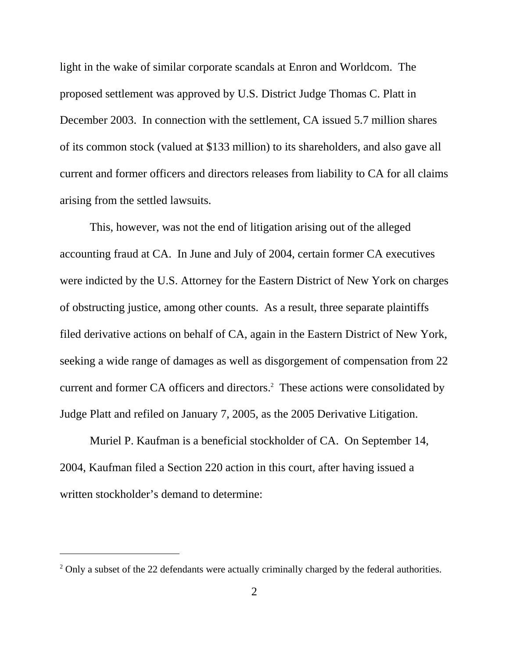light in the wake of similar corporate scandals at Enron and Worldcom. The proposed settlement was approved by U.S. District Judge Thomas C. Platt in December 2003. In connection with the settlement, CA issued 5.7 million shares of its common stock (valued at \$133 million) to its shareholders, and also gave all current and former officers and directors releases from liability to CA for all claims arising from the settled lawsuits.

This, however, was not the end of litigation arising out of the alleged accounting fraud at CA. In June and July of 2004, certain former CA executives were indicted by the U.S. Attorney for the Eastern District of New York on charges of obstructing justice, among other counts. As a result, three separate plaintiffs filed derivative actions on behalf of CA, again in the Eastern District of New York, seeking a wide range of damages as well as disgorgement of compensation from 22 current and former CA officers and directors.<sup>2</sup> These actions were consolidated by Judge Platt and refiled on January 7, 2005, as the 2005 Derivative Litigation.

Muriel P. Kaufman is a beneficial stockholder of CA. On September 14, 2004, Kaufman filed a Section 220 action in this court, after having issued a written stockholder's demand to determine:

 $2$  Only a subset of the 22 defendants were actually criminally charged by the federal authorities.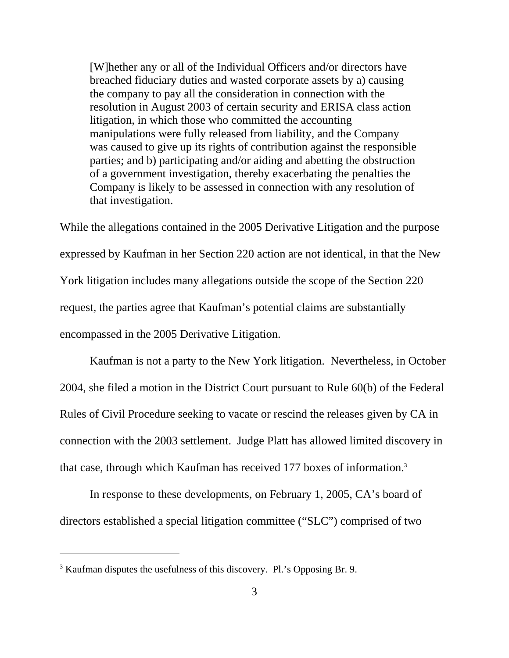[W]hether any or all of the Individual Officers and/or directors have breached fiduciary duties and wasted corporate assets by a) causing the company to pay all the consideration in connection with the resolution in August 2003 of certain security and ERISA class action litigation, in which those who committed the accounting manipulations were fully released from liability, and the Company was caused to give up its rights of contribution against the responsible parties; and b) participating and/or aiding and abetting the obstruction of a government investigation, thereby exacerbating the penalties the Company is likely to be assessed in connection with any resolution of that investigation.

While the allegations contained in the 2005 Derivative Litigation and the purpose expressed by Kaufman in her Section 220 action are not identical, in that the New York litigation includes many allegations outside the scope of the Section 220 request, the parties agree that Kaufman's potential claims are substantially encompassed in the 2005 Derivative Litigation.

Kaufman is not a party to the New York litigation. Nevertheless, in October 2004, she filed a motion in the District Court pursuant to Rule 60(b) of the Federal Rules of Civil Procedure seeking to vacate or rescind the releases given by CA in connection with the 2003 settlement. Judge Platt has allowed limited discovery in that case, through which Kaufman has received 177 boxes of information.3

In response to these developments, on February 1, 2005, CA's board of directors established a special litigation committee ("SLC") comprised of two

<sup>&</sup>lt;sup>3</sup> Kaufman disputes the usefulness of this discovery. Pl.'s Opposing Br. 9.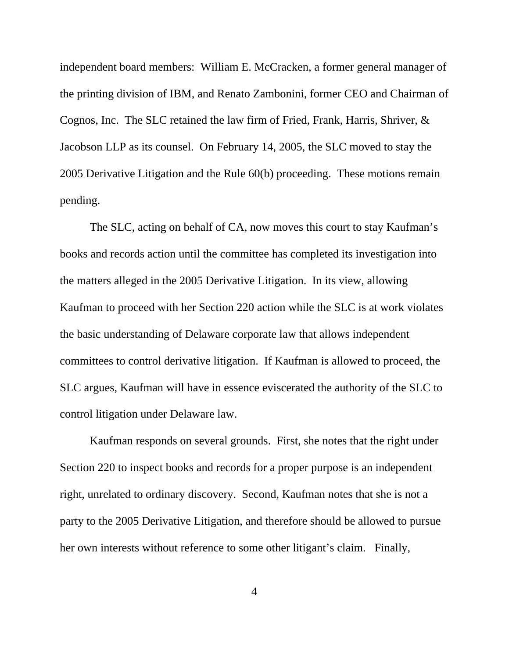independent board members: William E. McCracken, a former general manager of the printing division of IBM, and Renato Zambonini, former CEO and Chairman of Cognos, Inc. The SLC retained the law firm of Fried, Frank, Harris, Shriver, & Jacobson LLP as its counsel. On February 14, 2005, the SLC moved to stay the 2005 Derivative Litigation and the Rule 60(b) proceeding. These motions remain pending.

The SLC, acting on behalf of CA, now moves this court to stay Kaufman's books and records action until the committee has completed its investigation into the matters alleged in the 2005 Derivative Litigation. In its view, allowing Kaufman to proceed with her Section 220 action while the SLC is at work violates the basic understanding of Delaware corporate law that allows independent committees to control derivative litigation. If Kaufman is allowed to proceed, the SLC argues, Kaufman will have in essence eviscerated the authority of the SLC to control litigation under Delaware law.

Kaufman responds on several grounds. First, she notes that the right under Section 220 to inspect books and records for a proper purpose is an independent right, unrelated to ordinary discovery. Second, Kaufman notes that she is not a party to the 2005 Derivative Litigation, and therefore should be allowed to pursue her own interests without reference to some other litigant's claim. Finally,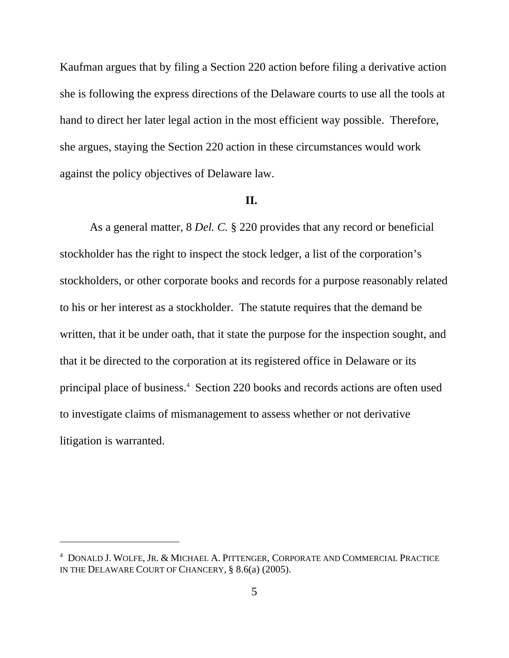Kaufman argues that by filing a Section 220 action before filing a derivative action she is following the express directions of the Delaware courts to use all the tools at hand to direct her later legal action in the most efficient way possible. Therefore, she argues, staying the Section 220 action in these circumstances would work against the policy objectives of Delaware law.

#### **II.**

As a general matter, 8 *Del. C.* § 220 provides that any record or beneficial stockholder has the right to inspect the stock ledger, a list of the corporation's stockholders, or other corporate books and records for a purpose reasonably related to his or her interest as a stockholder. The statute requires that the demand be written, that it be under oath, that it state the purpose for the inspection sought, and that it be directed to the corporation at its registered office in Delaware or its principal place of business.<sup>4</sup> Section 220 books and records actions are often used to investigate claims of mismanagement to assess whether or not derivative litigation is warranted.

<sup>4</sup> DONALD J. WOLFE, JR. & MICHAEL A. PITTENGER, CORPORATE AND COMMERCIAL PRACTICE IN THE DELAWARE COURT OF CHANCERY, § 8.6(a) (2005).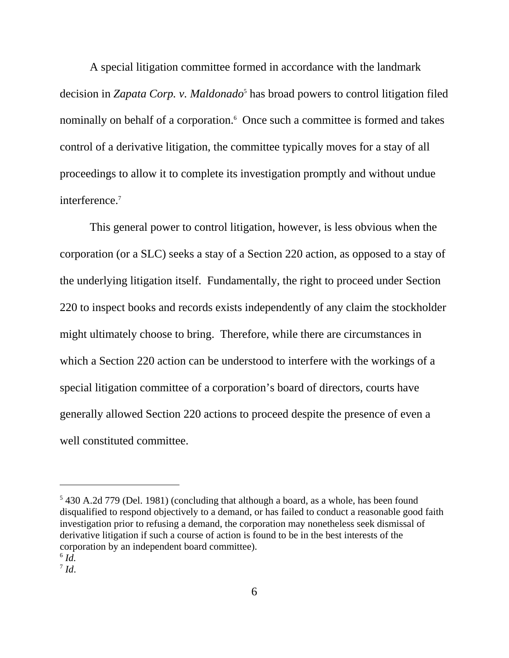A special litigation committee formed in accordance with the landmark decision in *Zapata Corp. v. Maldonado*<sup>5</sup> has broad powers to control litigation filed nominally on behalf of a corporation.<sup>6</sup> Once such a committee is formed and takes control of a derivative litigation, the committee typically moves for a stay of all proceedings to allow it to complete its investigation promptly and without undue interference.<sup>7</sup>

This general power to control litigation, however, is less obvious when the corporation (or a SLC) seeks a stay of a Section 220 action, as opposed to a stay of the underlying litigation itself. Fundamentally, the right to proceed under Section 220 to inspect books and records exists independently of any claim the stockholder might ultimately choose to bring. Therefore, while there are circumstances in which a Section 220 action can be understood to interfere with the workings of a special litigation committee of a corporation's board of directors, courts have generally allowed Section 220 actions to proceed despite the presence of even a well constituted committee.

<sup>&</sup>lt;sup>5</sup> 430 A.2d 779 (Del. 1981) (concluding that although a board, as a whole, has been found disqualified to respond objectively to a demand, or has failed to conduct a reasonable good faith investigation prior to refusing a demand, the corporation may nonetheless seek dismissal of derivative litigation if such a course of action is found to be in the best interests of the corporation by an independent board committee).

 $6$   $Id.$ 

 $^7$  *Id.*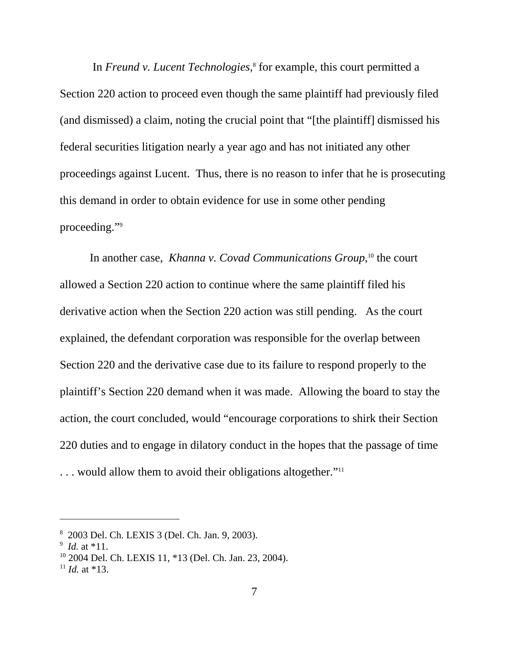In *Freund v. Lucent Technologies,*<sup>8</sup> for example, this court permitted a Section 220 action to proceed even though the same plaintiff had previously filed (and dismissed) a claim, noting the crucial point that "[the plaintiff] dismissed his federal securities litigation nearly a year ago and has not initiated any other proceedings against Lucent. Thus, there is no reason to infer that he is prosecuting this demand in order to obtain evidence for use in some other pending proceeding."9

In another case, *Khanna v. Covad Communications Group*, 10 the court allowed a Section 220 action to continue where the same plaintiff filed his derivative action when the Section 220 action was still pending. As the court explained, the defendant corporation was responsible for the overlap between Section 220 and the derivative case due to its failure to respond properly to the plaintiff's Section 220 demand when it was made. Allowing the board to stay the action, the court concluded, would "encourage corporations to shirk their Section 220 duties and to engage in dilatory conduct in the hopes that the passage of time ... would allow them to avoid their obligations altogether."<sup>11</sup>

<sup>8</sup> 2003 Del. Ch. LEXIS 3 (Del. Ch. Jan. 9, 2003).

 $9$  *Id.* at \*11.

<sup>10 2004</sup> Del. Ch. LEXIS 11, \*13 (Del. Ch. Jan. 23, 2004).

 $11$  *Id.* at \*13.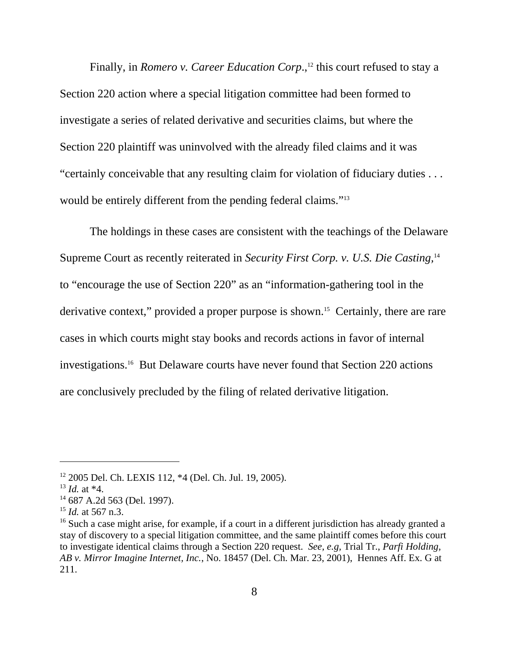Finally, in *Romero v. Career Education Corp*.,<sup>12</sup> this court refused to stay a Section 220 action where a special litigation committee had been formed to investigate a series of related derivative and securities claims, but where the Section 220 plaintiff was uninvolved with the already filed claims and it was "certainly conceivable that any resulting claim for violation of fiduciary duties . . . would be entirely different from the pending federal claims."<sup>13</sup>

The holdings in these cases are consistent with the teachings of the Delaware Supreme Court as recently reiterated in *Security First Corp. v. U.S. Die Casting,*<sup>14</sup> to "encourage the use of Section 220" as an "information-gathering tool in the derivative context," provided a proper purpose is shown.<sup>15</sup> Certainly, there are rare cases in which courts might stay books and records actions in favor of internal investigations.16 But Delaware courts have never found that Section 220 actions are conclusively precluded by the filing of related derivative litigation.

<sup>12 2005</sup> Del. Ch. LEXIS 112, \*4 (Del. Ch. Jul. 19, 2005).

<sup>13</sup> *Id.* at \*4.

<sup>14 687</sup> A.2d 563 (Del. 1997).

<sup>15</sup> *Id.* at 567 n.3.

<sup>&</sup>lt;sup>16</sup> Such a case might arise, for example, if a court in a different jurisdiction has already granted a stay of discovery to a special litigation committee, and the same plaintiff comes before this court to investigate identical claims through a Section 220 request. *See, e.g,* Trial Tr., *Parfi Holding, AB v. Mirror Imagine Internet, Inc.*, No. 18457 (Del. Ch. Mar. 23, 2001), Hennes Aff. Ex. G at 211.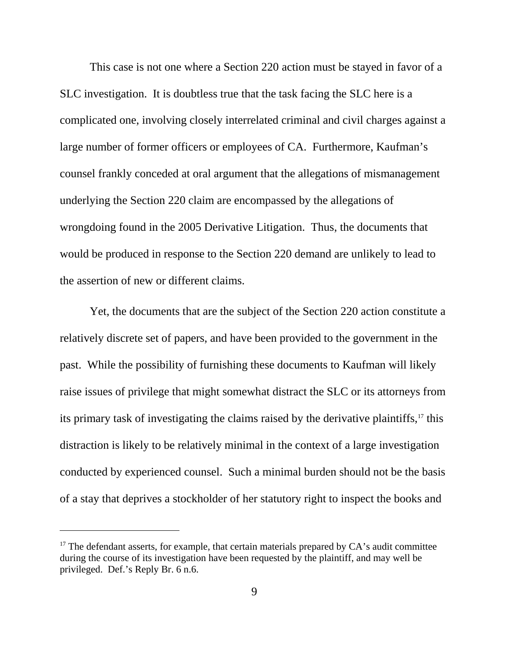This case is not one where a Section 220 action must be stayed in favor of a SLC investigation. It is doubtless true that the task facing the SLC here is a complicated one, involving closely interrelated criminal and civil charges against a large number of former officers or employees of CA. Furthermore, Kaufman's counsel frankly conceded at oral argument that the allegations of mismanagement underlying the Section 220 claim are encompassed by the allegations of wrongdoing found in the 2005 Derivative Litigation. Thus, the documents that would be produced in response to the Section 220 demand are unlikely to lead to the assertion of new or different claims.

Yet, the documents that are the subject of the Section 220 action constitute a relatively discrete set of papers, and have been provided to the government in the past. While the possibility of furnishing these documents to Kaufman will likely raise issues of privilege that might somewhat distract the SLC or its attorneys from its primary task of investigating the claims raised by the derivative plaintiffs,<sup>17</sup> this distraction is likely to be relatively minimal in the context of a large investigation conducted by experienced counsel. Such a minimal burden should not be the basis of a stay that deprives a stockholder of her statutory right to inspect the books and

 $17$  The defendant asserts, for example, that certain materials prepared by CA's audit committee during the course of its investigation have been requested by the plaintiff, and may well be privileged. Def.'s Reply Br. 6 n.6.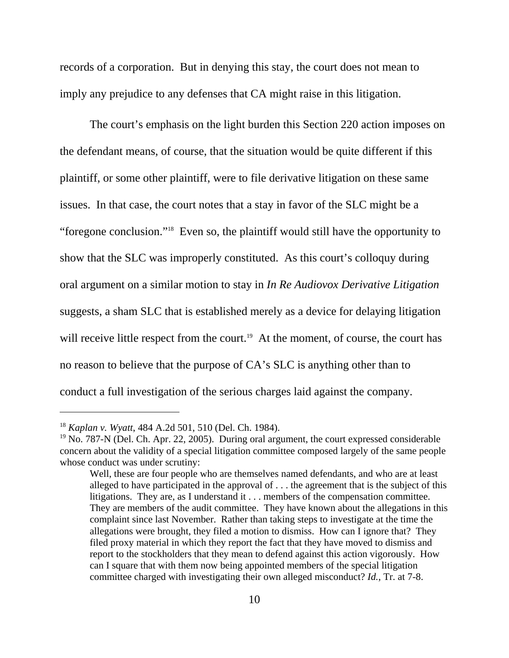records of a corporation. But in denying this stay, the court does not mean to imply any prejudice to any defenses that CA might raise in this litigation.

The court's emphasis on the light burden this Section 220 action imposes on the defendant means, of course, that the situation would be quite different if this plaintiff, or some other plaintiff, were to file derivative litigation on these same issues. In that case, the court notes that a stay in favor of the SLC might be a "foregone conclusion."18 Even so, the plaintiff would still have the opportunity to show that the SLC was improperly constituted. As this court's colloquy during oral argument on a similar motion to stay in *In Re Audiovox Derivative Litigation* suggests, a sham SLC that is established merely as a device for delaying litigation will receive little respect from the court.<sup>19</sup> At the moment, of course, the court has no reason to believe that the purpose of CA's SLC is anything other than to conduct a full investigation of the serious charges laid against the company.

<sup>18</sup> *Kaplan v. Wyatt*, 484 A.2d 501, 510 (Del. Ch. 1984).

 $19$  No. 787-N (Del. Ch. Apr. 22, 2005). During oral argument, the court expressed considerable concern about the validity of a special litigation committee composed largely of the same people whose conduct was under scrutiny:

Well, these are four people who are themselves named defendants, and who are at least alleged to have participated in the approval of . . . the agreement that is the subject of this litigations. They are, as I understand it . . . members of the compensation committee. They are members of the audit committee. They have known about the allegations in this complaint since last November. Rather than taking steps to investigate at the time the allegations were brought, they filed a motion to dismiss. How can I ignore that? They filed proxy material in which they report the fact that they have moved to dismiss and report to the stockholders that they mean to defend against this action vigorously. How can I square that with them now being appointed members of the special litigation committee charged with investigating their own alleged misconduct? *Id.,* Tr. at 7-8.